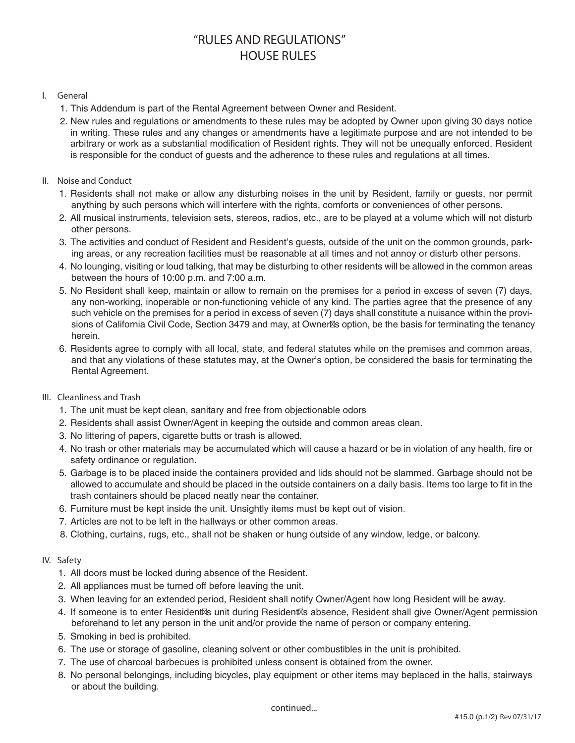# **"RULES AND REGULATIONS" HOUSE RULES**

### **I. General**

- 1. This Addendum is part of the Rental Agreement between Owner and Resident.
- 2. New rules and regulations or amendments to these rules may be adopted by Owner upon giving 30 days notice in writing. These rules and any changes or amendments have a legitimate purpose and are not intended to be arbitrary or work as a substantial modification of Resident rights. They will not be unequally enforced. Resident is responsible for the conduct of guests and the adherence to these rules and regulations at all times.

### **II. Noise and Conduct**

- 1. Residents shall not make or allow any disturbing noises in the unit by Resident, family or guests, nor permit anything by such persons which will interfere with the rights, comforts or conveniences of other persons.
- 2. All musical instruments, television sets, stereos, radios, etc., are to be played at a volume which will not disturb other persons.
- 3. The activities and conduct of Resident and Resident's guests, outside of the unit on the common grounds, parking areas, or any recreation facilities must be reasonable at all times and not annoy or disturb other persons.
- 4. No lounging, visiting or loud talking, that may be disturbing to other residents will be allowed in the common areas between the hours of 10:00 p.m. and 7:00 a.m.
- 5. No Resident shall keep, maintain or allow to remain on the premises for a period in excess of seven (7) days, any non-working, inoperable or non-functioning vehicle of any kind. The parties agree that the presence of any such vehicle on the premises for a period in excess of seven (7) days shall constitute a nuisance within the provisions of California Civil Code, Section 3479 and may, at Owner s option, be the basis for terminating the tenancy herein.
- 6. Residents agree to comply with all local, state, and federal statutes while on the premises and common areas, and that any violations of these statutes may, at the Owner's option, be considered the basis for terminating the Rental Agreement.

## **III. Cleanliness and Trash**

- 1. The unit must be kept clean, sanitary and free from objectionable odors
- 2. Residents shall assist Owner/Agent in keeping the outside and common areas clean.
- 3. No littering of papers, cigarette butts or trash is allowed.
- 4. No trash or other materials may be accumulated which will cause a hazard or be in violation of any health, fire or safety ordinance or regulation.
- 5. Garbage is to be placed inside the containers provided and lids should not be slammed. Garbage should not be allowed to accumulate and should be placed in the outside containers on a daily basis. Items too large to fit in the trash containers should be placed neatly near the container.
- 6. Furniture must be kept inside the unit. Unsightly items must be kept out of vision.
- 7. Articles are not to be left in the hallways or other common areas.
- 8. Clothing, curtains, rugs, etc., shall not be shaken or hung outside of any window, ledge, or balcony.

#### **IV. Safety**

- 1. All doors must be locked during absence of the Resident.
- 2. All appliances must be turned off before leaving the unit.
- 3. When leaving for an extended period, Resident shall notify Owner/Agent how long Resident will be away.
- 4. If someone is to enter Resident s unit during Resident s absence, Resident shall give Owner/Agent permission beforehand to let any person in the unit and/or provide the name of person or company entering.
- 5. Smoking in bed is prohibited.
- 6. The use or storage of gasoline, cleaning solvent or other combustibles in the unit is prohibited.
- 7. The use of charcoal barbecues is prohibited unless consent is obtained from the owner.
- 8. No personal belongings, including bicycles, play equipment or other items may beplaced in the halls, stairways or about the building.